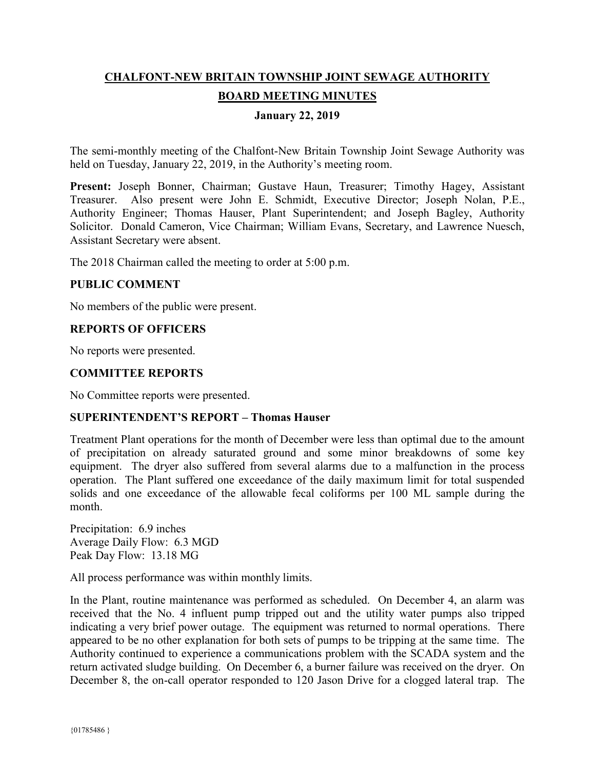# **CHALFONT-NEW BRITAIN TOWNSHIP JOINT SEWAGE AUTHORITY BOARD MEETING MINUTES**

### **January 22, 2019**

The semi-monthly meeting of the Chalfont-New Britain Township Joint Sewage Authority was held on Tuesday, January 22, 2019, in the Authority's meeting room.

**Present:** Joseph Bonner, Chairman; Gustave Haun, Treasurer; Timothy Hagey, Assistant Treasurer. Also present were John E. Schmidt, Executive Director; Joseph Nolan, P.E., Authority Engineer; Thomas Hauser, Plant Superintendent; and Joseph Bagley, Authority Solicitor. Donald Cameron, Vice Chairman; William Evans, Secretary, and Lawrence Nuesch, Assistant Secretary were absent.

The 2018 Chairman called the meeting to order at 5:00 p.m.

#### **PUBLIC COMMENT**

No members of the public were present.

# **REPORTS OF OFFICERS**

No reports were presented.

#### **COMMITTEE REPORTS**

No Committee reports were presented.

#### **SUPERINTENDENT'S REPORT – Thomas Hauser**

Treatment Plant operations for the month of December were less than optimal due to the amount of precipitation on already saturated ground and some minor breakdowns of some key equipment. The dryer also suffered from several alarms due to a malfunction in the process operation. The Plant suffered one exceedance of the daily maximum limit for total suspended solids and one exceedance of the allowable fecal coliforms per 100 ML sample during the month.

Precipitation: 6.9 inches Average Daily Flow: 6.3 MGD Peak Day Flow: 13.18 MG

All process performance was within monthly limits.

In the Plant, routine maintenance was performed as scheduled. On December 4, an alarm was received that the No. 4 influent pump tripped out and the utility water pumps also tripped indicating a very brief power outage. The equipment was returned to normal operations. There appeared to be no other explanation for both sets of pumps to be tripping at the same time. The Authority continued to experience a communications problem with the SCADA system and the return activated sludge building. On December 6, a burner failure was received on the dryer. On December 8, the on-call operator responded to 120 Jason Drive for a clogged lateral trap. The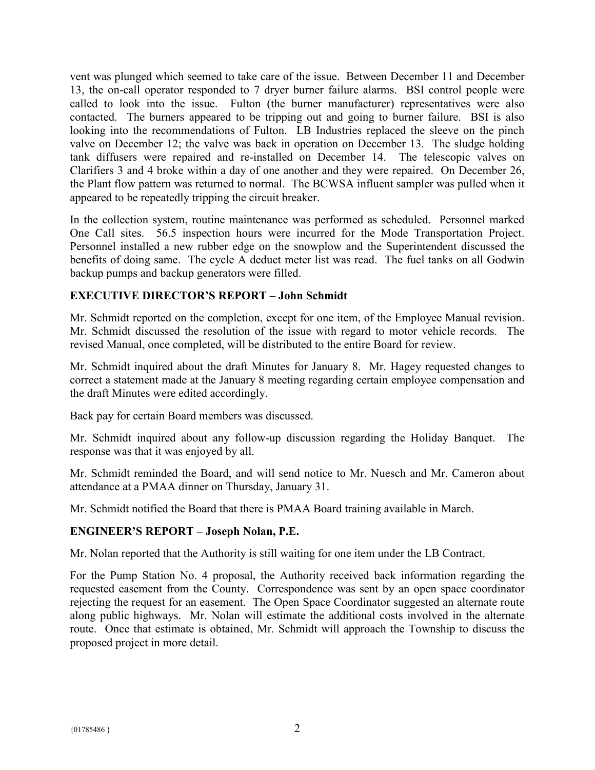vent was plunged which seemed to take care of the issue. Between December 11 and December 13, the on-call operator responded to 7 dryer burner failure alarms. BSI control people were called to look into the issue. Fulton (the burner manufacturer) representatives were also contacted. The burners appeared to be tripping out and going to burner failure. BSI is also looking into the recommendations of Fulton. LB Industries replaced the sleeve on the pinch valve on December 12; the valve was back in operation on December 13. The sludge holding tank diffusers were repaired and re-installed on December 14. The telescopic valves on Clarifiers 3 and 4 broke within a day of one another and they were repaired. On December 26, the Plant flow pattern was returned to normal. The BCWSA influent sampler was pulled when it appeared to be repeatedly tripping the circuit breaker.

In the collection system, routine maintenance was performed as scheduled. Personnel marked One Call sites. 56.5 inspection hours were incurred for the Mode Transportation Project. Personnel installed a new rubber edge on the snowplow and the Superintendent discussed the benefits of doing same. The cycle A deduct meter list was read. The fuel tanks on all Godwin backup pumps and backup generators were filled.

# **EXECUTIVE DIRECTOR'S REPORT – John Schmidt**

Mr. Schmidt reported on the completion, except for one item, of the Employee Manual revision. Mr. Schmidt discussed the resolution of the issue with regard to motor vehicle records. The revised Manual, once completed, will be distributed to the entire Board for review.

Mr. Schmidt inquired about the draft Minutes for January 8. Mr. Hagey requested changes to correct a statement made at the January 8 meeting regarding certain employee compensation and the draft Minutes were edited accordingly.

Back pay for certain Board members was discussed.

Mr. Schmidt inquired about any follow-up discussion regarding the Holiday Banquet. The response was that it was enjoyed by all.

Mr. Schmidt reminded the Board, and will send notice to Mr. Nuesch and Mr. Cameron about attendance at a PMAA dinner on Thursday, January 31.

Mr. Schmidt notified the Board that there is PMAA Board training available in March.

#### **ENGINEER'S REPORT – Joseph Nolan, P.E.**

Mr. Nolan reported that the Authority is still waiting for one item under the LB Contract.

For the Pump Station No. 4 proposal, the Authority received back information regarding the requested easement from the County. Correspondence was sent by an open space coordinator rejecting the request for an easement. The Open Space Coordinator suggested an alternate route along public highways. Mr. Nolan will estimate the additional costs involved in the alternate route. Once that estimate is obtained, Mr. Schmidt will approach the Township to discuss the proposed project in more detail.